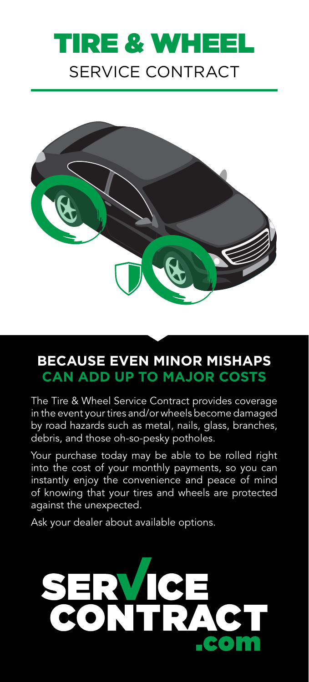# SERVICE CONTRACT **TIRE & WHE**



# **BECAUSE EVEN MINOR MISHAPS CAN ADD UP TO MAJOR COSTS**

The Tire & Wheel Service Contract provides coverage in the event your tires and/or wheels become damaged by road hazards such as metal, nails, glass, branches, debris, and those oh-so-pesky potholes.

Your purchase today may be able to be rolled right into the cost of your monthly payments, so you can instantly enjoy the convenience and peace of mind of knowing that your tires and wheels are protected against the unexpected.

Ask your dealer about available options.